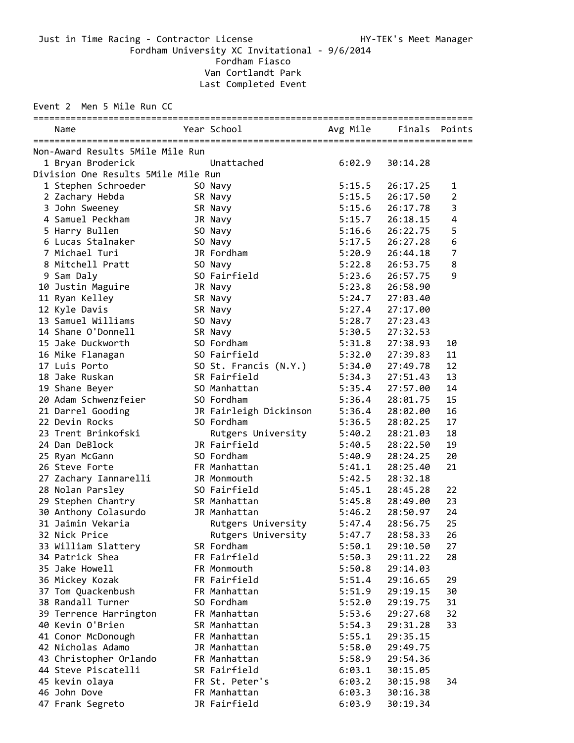Just in Time Racing - Contractor License And Annual HY-TEK's Meet Manager Fordham University XC Invitational - 9/6/2014

Fordham Fiasco

Van Cortlandt Park Last Completed Event

Event 2 Men 5 Mile Run CC

|  | Name                                |  | Year School                    |        | Avg Mile Finals Points |                |  |  |  |  |  |
|--|-------------------------------------|--|--------------------------------|--------|------------------------|----------------|--|--|--|--|--|
|  | Non-Award Results 5Mile Mile Run    |  |                                |        |                        |                |  |  |  |  |  |
|  | 1 Bryan Broderick                   |  | <b>Example 2018</b> Unattached | 6:02.9 | 30:14.28               |                |  |  |  |  |  |
|  | Division One Results 5Mile Mile Run |  |                                |        |                        |                |  |  |  |  |  |
|  | 1 Stephen Schroeder                 |  | SO Navy                        | 5:15.5 | 26:17.25               | 1              |  |  |  |  |  |
|  | 2 Zachary Hebda                     |  | SR Navy                        | 5:15.5 | 26:17.50               | $\overline{2}$ |  |  |  |  |  |
|  | 3 John Sweeney                      |  | SR Navy                        | 5:15.6 | 26:17.78               | 3              |  |  |  |  |  |
|  | 4 Samuel Peckham                    |  | JR Navy                        | 5:15.7 | 26:18.15               | $\overline{4}$ |  |  |  |  |  |
|  | 5 Harry Bullen                      |  | SO Navy                        | 5:16.6 | 26:22.75               | 5              |  |  |  |  |  |
|  | 6 Lucas Stalnaker                   |  | SO Navy                        | 5:17.5 | 26:27.28               | 6              |  |  |  |  |  |
|  | 7 Michael Turi                      |  | JR Fordham                     | 5:20.9 | 26:44.18               | $\overline{7}$ |  |  |  |  |  |
|  | 8 Mitchell Pratt                    |  | SO Navy                        | 5:22.8 | 26:53.75               | 8              |  |  |  |  |  |
|  | 9 Sam Daly                          |  | SO Fairfield                   | 5:23.6 | 26:57.75               | 9              |  |  |  |  |  |
|  | 10 Justin Maguire                   |  | JR Navy                        | 5:23.8 | 26:58.90               |                |  |  |  |  |  |
|  | 11 Ryan Kelley                      |  | SR Navy                        | 5:24.7 | 27:03.40               |                |  |  |  |  |  |
|  | 12 Kyle Davis                       |  | SR Navy                        | 5:27.4 | 27:17.00               |                |  |  |  |  |  |
|  | 13 Samuel Williams                  |  | SO Navy                        | 5:28.7 | 27:23.43               |                |  |  |  |  |  |
|  | 14 Shane O'Donnell                  |  | SR Navy                        | 5:30.5 | 27:32.53               |                |  |  |  |  |  |
|  | 15 Jake Duckworth                   |  | SO Fordham                     | 5:31.8 | 27:38.93               | 10             |  |  |  |  |  |
|  | 16 Mike Flanagan                    |  | SO Fairfield                   | 5:32.0 | 27:39.83               | 11             |  |  |  |  |  |
|  | 17 Luis Porto                       |  | SO St. Francis (N.Y.)          | 5:34.0 | 27:49.78               | 12             |  |  |  |  |  |
|  | 18 Jake Ruskan                      |  | SR Fairfield                   | 5:34.3 | 27:51.43               | 13             |  |  |  |  |  |
|  | 19 Shane Beyer                      |  | SO Manhattan                   | 5:35.4 | 27:57.00               | 14             |  |  |  |  |  |
|  | 20 Adam Schwenzfeier                |  | SO Fordham                     | 5:36.4 | 28:01.75               | 15             |  |  |  |  |  |
|  | 21 Darrel Gooding                   |  | JR Fairleigh Dickinson         | 5:36.4 | 28:02.00               | 16             |  |  |  |  |  |
|  | 22 Devin Rocks                      |  | SO Fordham                     | 5:36.5 | 28:02.25               | 17             |  |  |  |  |  |
|  | 23 Trent Brinkofski                 |  | Rutgers University             | 5:40.2 | 28:21.03               | 18             |  |  |  |  |  |
|  | 24 Dan DeBlock                      |  | JR Fairfield                   | 5:40.5 | 28:22.50               | 19             |  |  |  |  |  |
|  | 25 Ryan McGann                      |  | SO Fordham                     | 5:40.9 | 28:24.25               | 20             |  |  |  |  |  |
|  | 26 Steve Forte                      |  | FR Manhattan                   | 5:41.1 | 28:25.40               | 21             |  |  |  |  |  |
|  | 27 Zachary Iannarelli               |  | JR Monmouth                    | 5:42.5 | 28:32.18               |                |  |  |  |  |  |
|  | 28 Nolan Parsley                    |  | SO Fairfield                   | 5:45.1 | 28:45.28               | 22             |  |  |  |  |  |
|  | 29 Stephen Chantry                  |  | SR Manhattan                   | 5:45.8 | 28:49.00               | 23             |  |  |  |  |  |
|  | 30 Anthony Colasurdo                |  | JR Manhattan                   | 5:46.2 | 28:50.97               | 24             |  |  |  |  |  |
|  | 31 Jaimin Vekaria                   |  | Rutgers University             | 5:47.4 | 28:56.75               | 25             |  |  |  |  |  |
|  | 32 Nick Price                       |  | Rutgers University             |        | 5:47.7 28:58.33        | 26             |  |  |  |  |  |
|  | 33 William Slattery                 |  | SR Fordham                     | 5:50.1 | 29:10.50               | 27             |  |  |  |  |  |
|  | 34 Patrick Shea                     |  | FR Fairfield                   | 5:50.3 | 29:11.22               | 28             |  |  |  |  |  |
|  | 35 Jake Howell                      |  | FR Monmouth                    | 5:50.8 | 29:14.03               |                |  |  |  |  |  |
|  | 36 Mickey Kozak                     |  | FR Fairfield                   | 5:51.4 | 29:16.65               | 29             |  |  |  |  |  |
|  | 37 Tom Quackenbush                  |  | FR Manhattan                   | 5:51.9 | 29:19.15               | 30             |  |  |  |  |  |
|  | 38 Randall Turner                   |  | SO Fordham                     | 5:52.0 | 29:19.75               | 31             |  |  |  |  |  |
|  | 39 Terrence Harrington              |  | FR Manhattan                   | 5:53.6 | 29:27.68               | 32             |  |  |  |  |  |
|  | 40 Kevin O'Brien                    |  | SR Manhattan                   | 5:54.3 | 29:31.28               | 33             |  |  |  |  |  |
|  | 41 Conor McDonough                  |  | FR Manhattan                   | 5:55.1 | 29:35.15               |                |  |  |  |  |  |
|  | 42 Nicholas Adamo                   |  | JR Manhattan                   | 5:58.0 | 29:49.75               |                |  |  |  |  |  |
|  | 43 Christopher Orlando              |  | FR Manhattan                   | 5:58.9 | 29:54.36               |                |  |  |  |  |  |
|  | 44 Steve Piscatelli                 |  | SR Fairfield                   | 6:03.1 | 30:15.05               |                |  |  |  |  |  |
|  | 45 kevin olaya                      |  | FR St. Peter's                 | 6:03.2 | 30:15.98               | 34             |  |  |  |  |  |
|  | 46 John Dove                        |  | FR Manhattan                   | 6:03.3 | 30:16.38               |                |  |  |  |  |  |
|  | 47 Frank Segreto                    |  | JR Fairfield                   | 6:03.9 | 30:19.34               |                |  |  |  |  |  |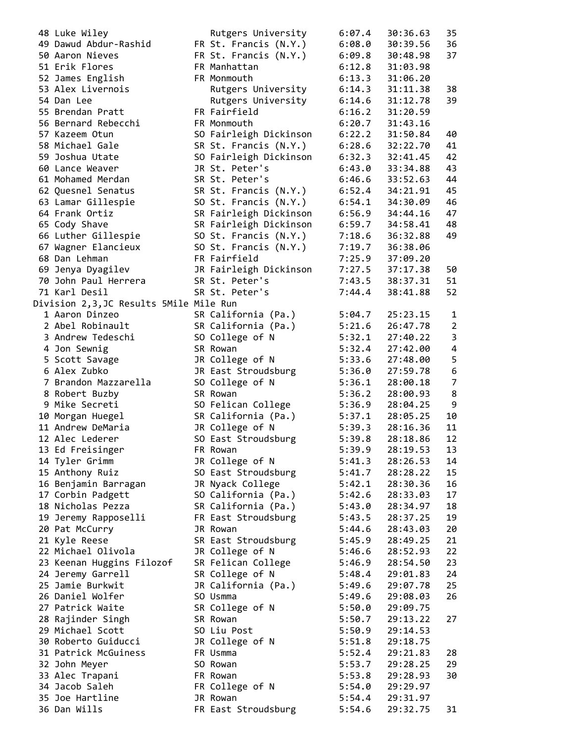| 48 Luke Wiley                          | Rutgers University     | 6:07.4 | 30:36.63 | 35             |
|----------------------------------------|------------------------|--------|----------|----------------|
| 49 Dawud Abdur-Rashid                  | FR St. Francis (N.Y.)  | 6:08.0 | 30:39.56 | 36             |
| 50 Aaron Nieves                        | FR St. Francis (N.Y.)  | 6:09.8 | 30:48.98 | 37             |
| 51 Erik Flores                         | FR Manhattan           | 6:12.8 | 31:03.98 |                |
| 52 James English                       | FR Monmouth            | 6:13.3 | 31:06.20 |                |
|                                        |                        |        |          |                |
| 53 Alex Livernois                      | Rutgers University     | 6:14.3 | 31:11.38 | 38             |
| 54 Dan Lee                             | Rutgers University     | 6:14.6 | 31:12.78 | 39             |
| 55 Brendan Pratt                       | FR Fairfield           | 6:16.2 | 31:20.59 |                |
| 56 Bernard Rebecchi                    | FR Monmouth            | 6:20.7 | 31:43.16 |                |
| 57 Kazeem Otun                         | SO Fairleigh Dickinson | 6:22.2 | 31:50.84 | 40             |
| 58 Michael Gale                        | SR St. Francis (N.Y.)  | 6:28.6 | 32:22.70 | 41             |
| 59 Joshua Utate                        | SO Fairleigh Dickinson | 6:32.3 | 32:41.45 | 42             |
|                                        |                        |        |          | 43             |
| 60 Lance Weaver                        | JR St. Peter's         | 6:43.0 | 33:34.88 |                |
| 61 Mohamed Merdan                      | SR St. Peter's         | 6:46.6 | 33:52.63 | 44             |
| 62 Quesnel Senatus                     | SR St. Francis (N.Y.)  | 6:52.4 | 34:21.91 | 45             |
| 63 Lamar Gillespie                     | SO St. Francis (N.Y.)  | 6:54.1 | 34:30.09 | 46             |
| 64 Frank Ortiz                         | SR Fairleigh Dickinson | 6:56.9 | 34:44.16 | 47             |
| 65 Cody Shave                          | SR Fairleigh Dickinson | 6:59.7 | 34:58.41 | 48             |
| 66 Luther Gillespie                    | SO St. Francis (N.Y.)  | 7:18.6 | 36:32.88 | 49             |
| 67 Wagner Elancieux                    | SO St. Francis (N.Y.)  | 7:19.7 | 36:38.06 |                |
| 68 Dan Lehman                          | FR Fairfield           | 7:25.9 | 37:09.20 |                |
|                                        |                        |        |          |                |
| 69 Jenya Dyagilev                      | JR Fairleigh Dickinson | 7:27.5 | 37:17.38 | 50             |
| 70 John Paul Herrera                   | SR St. Peter's         | 7:43.5 | 38:37.31 | 51             |
| 71 Karl Desil                          | SR St. Peter's         | 7:44.4 | 38:41.88 | 52             |
| Division 2,3,JC Results 5Mile Mile Run |                        |        |          |                |
| 1 Aaron Dinzeo                         | SR California (Pa.)    | 5:04.7 | 25:23.15 | 1              |
| 2 Abel Robinault                       | SR California (Pa.)    | 5:21.6 | 26:47.78 | $\overline{2}$ |
| 3 Andrew Tedeschi                      | SO College of N        | 5:32.1 | 27:40.22 | $\mathbf{3}$   |
| 4 Jon Sewnig                           | SR Rowan               | 5:32.4 | 27:42.00 | $\overline{4}$ |
| 5 Scott Savage                         | JR College of N        | 5:33.6 | 27:48.00 | 5              |
| 6 Alex Zubko                           | JR East Stroudsburg    | 5:36.0 | 27:59.78 | 6              |
| 7 Brandon Mazzarella                   | SO College of N        | 5:36.1 | 28:00.18 | $\overline{7}$ |
|                                        |                        |        |          | 8              |
| 8 Robert Buzby                         | SR Rowan               | 5:36.2 | 28:00.93 |                |
| 9 Mike Secreti                         | SO Felican College     | 5:36.9 | 28:04.25 | 9              |
| 10 Morgan Huegel                       | SR California (Pa.)    | 5:37.1 | 28:05.25 | 10             |
| 11 Andrew DeMaria                      | JR College of N        | 5:39.3 | 28:16.36 | 11             |
| 12 Alec Lederer                        | SO East Stroudsburg    | 5:39.8 | 28:18.86 | 12             |
| 13 Ed Freisinger                       | FR Rowan               | 5:39.9 | 28:19.53 | 13             |
| 14 Tyler Grimm                         | JR College of N        | 5:41.3 | 28:26.53 | 14             |
| 15 Anthony Ruiz                        | SO East Stroudsburg    | 5:41.7 | 28:28.22 | 15             |
| 16 Benjamin Barragan                   | JR Nyack College       | 5:42.1 | 28:30.36 | 16             |
| 17 Corbin Padgett                      | SO California (Pa.)    | 5:42.6 | 28:33.03 | 17             |
| 18 Nicholas Pezza                      | SR California (Pa.)    | 5:43.0 | 28:34.97 | 18             |
|                                        |                        |        |          | 19             |
| 19 Jeremy Rapposelli                   | FR East Stroudsburg    | 5:43.5 | 28:37.25 |                |
| 20 Pat McCurry                         | JR Rowan               | 5:44.6 | 28:43.03 | 20             |
| 21 Kyle Reese                          | SR East Stroudsburg    | 5:45.9 | 28:49.25 | 21             |
| 22 Michael Olivola                     | JR College of N        | 5:46.6 | 28:52.93 | 22             |
| 23 Keenan Huggins Filozof              | SR Felican College     | 5:46.9 | 28:54.50 | 23             |
| 24 Jeremy Garrell                      | SR College of N        | 5:48.4 | 29:01.83 | 24             |
| 25 Jamie Burkwit                       | JR California (Pa.)    | 5:49.6 | 29:07.78 | 25             |
| 26 Daniel Wolfer                       | SO Usmma               | 5:49.6 | 29:08.03 | 26             |
| 27 Patrick Waite                       | SR College of N        | 5:50.0 | 29:09.75 |                |
| 28 Rajinder Singh                      | SR Rowan               | 5:50.7 | 29:13.22 | 27             |
| 29 Michael Scott                       | SO Liu Post            | 5:50.9 | 29:14.53 |                |
|                                        |                        |        |          |                |
| 30 Roberto Guiducci                    | JR College of N        | 5:51.8 | 29:18.75 |                |
| 31 Patrick McGuiness                   | FR Usmma               | 5:52.4 | 29:21.83 | 28             |
| 32 John Meyer                          | SO Rowan               | 5:53.7 | 29:28.25 | 29             |
| 33 Alec Trapani                        | FR Rowan               | 5:53.8 | 29:28.93 | 30             |
| 34 Jacob Saleh                         | FR College of N        | 5:54.0 | 29:29.97 |                |
| 35 Joe Hartline                        | JR Rowan               | 5:54.4 | 29:31.97 |                |
| 36 Dan Wills                           | FR East Stroudsburg    | 5:54.6 | 29:32.75 | 31             |
|                                        |                        |        |          |                |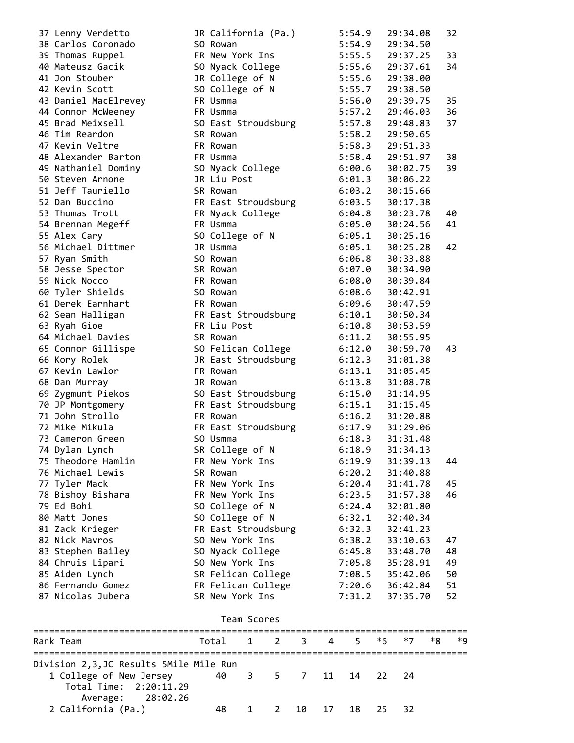| Rank Team                            | Total<br>1<br>2                 | 3<br>4 | 5                | *6 | *7                   | *8 | *9 |
|--------------------------------------|---------------------------------|--------|------------------|----|----------------------|----|----|
|                                      | Team Scores                     |        |                  |    |                      |    |    |
|                                      |                                 |        |                  |    |                      |    |    |
| 87 Nicolas Jubera                    | SR New York Ins                 |        | 7:31.2           |    | 37:35.70             |    | 52 |
| 86 Fernando Gomez                    | FR Felican College              |        | 7:20.6           |    | 36:42.84             |    | 51 |
| 85 Aiden Lynch                       | SR Felican College              |        | 7:08.5           |    | 35:42.06             |    | 50 |
| 84 Chruis Lipari                     | SO New York Ins                 |        | 7:05.8           |    | 35:28.91             |    | 49 |
| 83 Stephen Bailey                    | SO Nyack College                |        | 6:45.8           |    | 33:48.70             |    | 48 |
| 82 Nick Mayros                       | SO New York Ins                 |        | 6:38.2           |    | 33:10.63             |    | 47 |
| 81 Zack Krieger                      | FR East Stroudsburg             |        | 6:32.3           |    | 32:41.23             |    |    |
| 80 Matt Jones                        | SO College of N                 |        | 6:32.1           |    | 32:40.34             |    |    |
| 79 Ed Bohi                           | SO College of N                 |        | 6:24.4           |    | 32:01.80             |    |    |
| 78 Bishoy Bishara                    | FR New York Ins                 |        | 6:20.4<br>6:23.5 |    | 31:57.38             |    | 46 |
| 77 Tyler Mack                        | FR New York Ins                 |        |                  |    | 31:41.78             |    | 45 |
| 76 Michael Lewis                     | SR Rowan                        |        | 6:20.2           |    | 31:40.88             |    |    |
| 74 Dylan Lynch<br>75 Theodore Hamlin | FR New York Ins                 |        | 6:19.9           |    | 31:39.13             |    | 44 |
|                                      | SR College of N                 |        | 6:18.9           |    | 31:34.13             |    |    |
| 73 Cameron Green                     | FR East Stroudsburg<br>SO Usmma |        | 6:17.9<br>6:18.3 |    | 31:29.06<br>31:31.48 |    |    |
| 71 John Strollo<br>72 Mike Mikula    | FR Rowan                        |        | 6:16.2           |    | 31:20.88             |    |    |
| 70 JP Montgomery                     | FR East Stroudsburg             |        | 6:15.1           |    | 31:15.45             |    |    |
| 69 Zygmunt Piekos                    | SO East Stroudsburg             |        | 6:15.0           |    | 31:14.95             |    |    |
| 68 Dan Murray                        | JR Rowan                        |        | 6:13.8           |    | 31:08.78             |    |    |
| 67 Kevin Lawlor                      | FR Rowan                        |        | 6:13.1           |    | 31:05.45             |    |    |
| 66 Kory Rolek                        | JR East Stroudsburg             |        | 6:12.3           |    | 31:01.38             |    |    |
| 65 Connor Gillispe                   | SO Felican College              |        | 6:12.0           |    | 30:59.70             |    | 43 |
| 64 Michael Davies                    | SR Rowan                        |        | 6:11.2           |    | 30:55.95             |    |    |
| 63 Ryah Gioe                         | FR Liu Post                     |        | 6:10.8           |    | 30:53.59             |    |    |
| 62 Sean Halligan                     | FR East Stroudsburg             |        | 6:10.1           |    | 30:50.34             |    |    |
| 61 Derek Earnhart                    | FR Rowan                        |        | 6:09.6           |    | 30:47.59             |    |    |
| 60 Tyler Shields                     | SO Rowan                        |        | 6:08.6           |    | 30:42.91             |    |    |
| 59 Nick Nocco                        | FR Rowan                        |        | 6:08.0           |    | 30:39.84             |    |    |
| 58 Jesse Spector                     | SR Rowan                        |        | 6:07.0           |    | 30:34.90             |    |    |
| 57 Ryan Smith                        | SO Rowan                        |        | 6:06.8           |    | 30:33.88             |    |    |
| 56 Michael Dittmer                   | JR Usmma                        |        | 6:05.1           |    | 30:25.28             |    | 42 |
| 55 Alex Cary                         | SO College of N                 |        | 6:05.1           |    | 30:25.16             |    |    |
| 54 Brennan Megeff                    | FR Usmma                        |        | 6:05.0           |    | 30:24.56             |    | 41 |
| 53 Thomas Trott                      | FR Nyack College                |        | 6:04.8           |    | 30:23.78             |    | 40 |
| 52 Dan Buccino                       | FR East Stroudsburg             |        | 6:03.5           |    | 30:17.38             |    |    |
| 51 Jeff Tauriello                    | SR Rowan                        |        | 6:03.2           |    | 30:15.66             |    |    |
| 50 Steven Arnone                     | JR Liu Post                     |        | 6:01.3           |    | 30:06.22             |    |    |
| 49 Nathaniel Dominy                  | SO Nyack College                |        | 6:00.6           |    | 30:02.75             |    | 39 |
| 48 Alexander Barton                  | FR Usmma                        |        | 5:58.4           |    | 29:51.97             |    | 38 |
| 47 Kevin Veltre                      | FR Rowan                        |        | 5:58.3           |    | 29:51.33             |    |    |
| 46 Tim Reardon                       | SR Rowan                        |        | 5:58.2           |    | 29:50.65             |    |    |
| 45 Brad Meixsell                     | SO East Stroudsburg             |        | 5:57.8           |    | 29:48.83             |    | 37 |
| 44 Connor McWeeney                   | FR Usmma                        |        | 5:57.2           |    | 29:46.03             |    | 36 |
| 43 Daniel MacElrevey                 | FR Usmma                        |        | 5:56.0           |    | 29:39.75             |    | 35 |
| 42 Kevin Scott                       | SO College of N                 |        | 5:55.7           |    | 29:38.50             |    |    |
| 41 Jon Stouber                       | JR College of N                 |        | 5:55.6           |    | 29:38.00             |    |    |
| 40 Mateusz Gacik                     | SO Nyack College                |        | 5:55.6           |    | 29:37.61             |    | 34 |
| 39 Thomas Ruppel                     | FR New York Ins                 |        | 5:55.5           |    | 29:37.25             |    | 33 |
| 38 Carlos Coronado                   | SO Rowan                        |        | 5:54.9           |    | 29:34.50             |    |    |
| 37 Lenny Verdetto                    | JR California (Pa.)             |        | 5:54.9           |    | 29:34.08             |    | 32 |

| Rank Team                                         | Total 1 2 3 4 5 *6 *7 *8 *9 |  |  |                    |  |  |
|---------------------------------------------------|-----------------------------|--|--|--------------------|--|--|
| Division 2,3,JC Results 5Mile Mile Run            |                             |  |  |                    |  |  |
| 1 College of New Jersey<br>Total Time: 2:20:11.29 | 40 3 5 7 11 14 22 24        |  |  |                    |  |  |
| Average: 28:02.26                                 |                             |  |  |                    |  |  |
| 2 California (Pa.)                                | 48 —                        |  |  | 1 2 10 17 18 25 32 |  |  |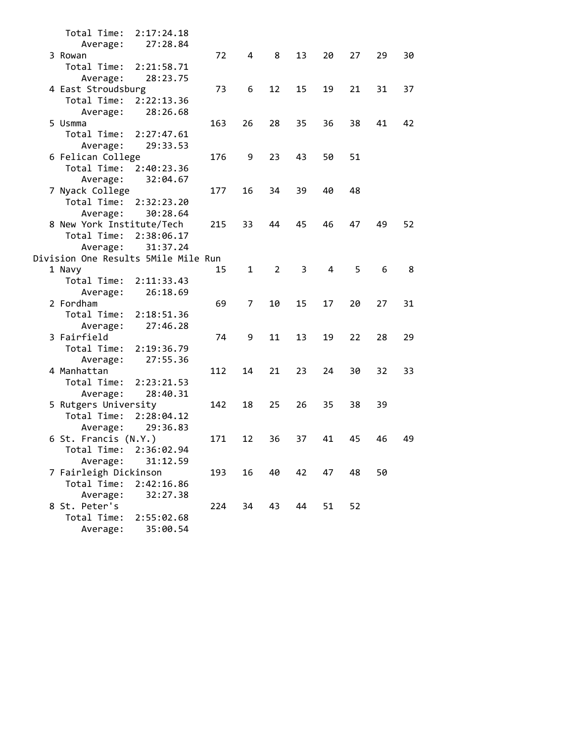| Total Time:               | 2:17:24.18                          |     |              |                |    |    |    |    |    |
|---------------------------|-------------------------------------|-----|--------------|----------------|----|----|----|----|----|
| Average:                  | 27:28.84                            |     |              |                |    |    |    |    |    |
| 3 Rowan                   |                                     | 72  | 4            | 8              | 13 | 20 | 27 | 29 | 30 |
| Total Time:               | 2:21:58.71                          |     |              |                |    |    |    |    |    |
| Average:                  | 28:23.75                            |     |              |                |    |    |    |    |    |
| 4 East Stroudsburg        |                                     | 73  | 6            | 12             | 15 | 19 | 21 | 31 | 37 |
| Total Time:               | 2:22:13.36                          |     |              |                |    |    |    |    |    |
| Average:                  | 28:26.68                            |     |              |                |    |    |    |    |    |
| 5 Usmma                   |                                     | 163 | 26           | 28             | 35 | 36 | 38 | 41 | 42 |
| Total Time:               | 2:27:47.61                          |     |              |                |    |    |    |    |    |
| Average:                  | 29:33.53                            |     |              |                |    |    |    |    |    |
| 6 Felican College         |                                     | 176 | 9            | 23             | 43 | 50 | 51 |    |    |
| Total Time:               | 2:40:23.36                          |     |              |                |    |    |    |    |    |
| Average:                  | 32:04.67                            |     |              |                |    |    |    |    |    |
| 7 Nyack College           |                                     | 177 | 16           | 34             | 39 | 40 | 48 |    |    |
| Total Time:               | 2:32:23.20                          |     |              |                |    |    |    |    |    |
| Average:                  | 30:28.64                            |     |              |                |    |    |    |    |    |
| 8 New York Institute/Tech |                                     | 215 | 33           | 44             | 45 | 46 | 47 | 49 | 52 |
| Total Time:               | 2:38:06.17                          |     |              |                |    |    |    |    |    |
| Average:                  | 31:37.24                            |     |              |                |    |    |    |    |    |
|                           | Division One Results 5Mile Mile Run |     |              |                |    |    |    |    |    |
| 1 Navy                    |                                     | 15  | $\mathbf{1}$ | $\overline{2}$ | 3  | 4  | 5  | 6  | 8  |
| Total Time:               | 2:11:33.43                          |     |              |                |    |    |    |    |    |
| Average:                  | 26:18.69                            |     |              |                |    |    |    |    |    |
| 2 Fordham                 |                                     | 69  | 7            | 10             | 15 | 17 | 20 | 27 | 31 |
| Total Time:               | 2:18:51.36                          |     |              |                |    |    |    |    |    |
| Average:                  | 27:46.28                            |     |              |                |    |    |    |    |    |
| 3 Fairfield               |                                     | 74  | 9            | 11             | 13 | 19 | 22 | 28 | 29 |
| Total Time:               | 2:19:36.79                          |     |              |                |    |    |    |    |    |
| Average:                  | 27:55.36                            |     |              |                |    |    |    |    |    |
| 4 Manhattan               |                                     | 112 | 14           | 21             | 23 | 24 | 30 | 32 | 33 |
| Total Time:               | 2:23:21.53                          |     |              |                |    |    |    |    |    |
| Average:                  | 28:40.31                            |     |              |                |    |    |    |    |    |
| 5 Rutgers University      |                                     | 142 | 18           | 25             | 26 | 35 | 38 | 39 |    |
| Total Time:               | 2:28:04.12                          |     |              |                |    |    |    |    |    |
| Average:                  | 29:36.83                            |     |              |                |    |    |    |    |    |
| 6 St. Francis (N.Y.)      |                                     | 171 | 12           | 36             | 37 | 41 | 45 | 46 | 49 |
| Total Time:               | 2:36:02.94                          |     |              |                |    |    |    |    |    |
| Average:                  | 31:12.59                            |     |              |                |    |    |    |    |    |
| 7 Fairleigh Dickinson     |                                     | 193 | 16           | 40             | 42 | 47 | 48 | 50 |    |
| Total Time:               | 2:42:16.86                          |     |              |                |    |    |    |    |    |
| Average:                  | 32:27.38                            |     |              |                |    |    |    |    |    |
| 8 St. Peter's             |                                     | 224 | 34           | 43             | 44 | 51 | 52 |    |    |
| Total Time:               | 2:55:02.68                          |     |              |                |    |    |    |    |    |
| Average:                  | 35:00.54                            |     |              |                |    |    |    |    |    |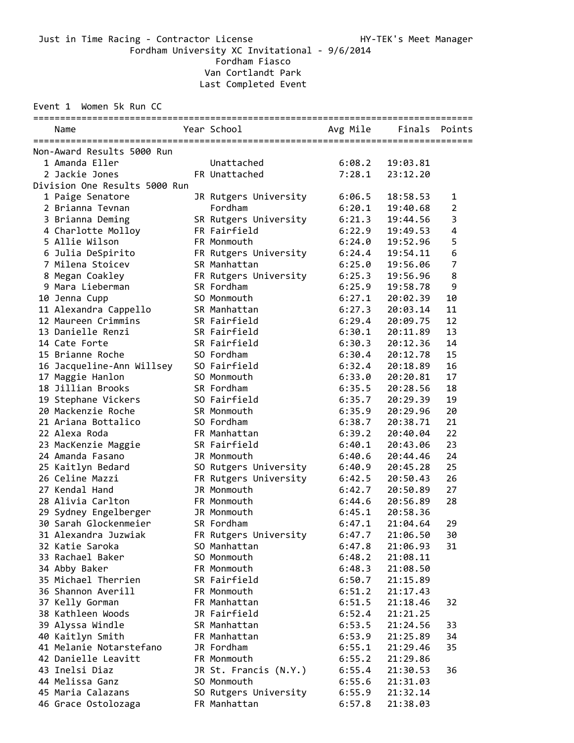Fordham University XC Invitational - 9/6/2014

Fordham Fiasco

Van Cortlandt Park

Last Completed Event

Event 1 Women 5k Run CC

| Name                                           | Year School           |                  | Avg Mile Finals Points |                |
|------------------------------------------------|-----------------------|------------------|------------------------|----------------|
| Non-Award Results 5000 Run                     |                       |                  |                        |                |
| 1 Amanda Eller                                 | Unattached            | 6:08.2           | 19:03.81               |                |
| 2 Jackie Jones                                 | FR Unattached         | 7:28.1           | 23:12.20               |                |
| Division One Results 5000 Run                  |                       |                  |                        |                |
| 1 Paige Senatore                               | JR Rutgers University | 6:06.5           | 18:58.53               | 1              |
| 2 Brianna Tevnan                               | Fordham               | 6:20.1           | 19:40.68               | $\overline{2}$ |
| 3 Brianna Deming                               | SR Rutgers University | 6:21.3           | 19:44.56               | 3              |
| 4 Charlotte Molloy                             | FR Fairfield          | 6:22.9           | 19:49.53               | 4              |
| 5 Allie Wilson                                 | FR Monmouth           | 6:24.0           | 19:52.96               | 5              |
| 6 Julia DeSpirito                              | FR Rutgers University | 6:24.4           | 19:54.11               | 6              |
| 7 Milena Stoicev                               | SR Manhattan          | 6:25.0           | 19:56.06               | $\overline{7}$ |
| 8 Megan Coakley                                | FR Rutgers University | 6:25.3           | 19:56.96               | 8              |
| 9 Mara Lieberman                               | SR Fordham            | 6:25.9           | 19:58.78               | 9              |
| 10 Jenna Cupp                                  | SO Monmouth           | 6:27.1           | 20:02.39               | 10             |
| 11 Alexandra Cappello                          | SR Manhattan          | 6:27.3           | 20:03.14               | 11             |
| 12 Maureen Crimmins                            | SR Fairfield          | 6:29.4           | 20:09.75               | 12             |
| 13 Danielle Renzi                              | SR Fairfield          | 6:30.1           | 20:11.89               | 13             |
| 14 Cate Forte                                  | SR Fairfield          | 6:30.3           | 20:12.36               | 14             |
| 15 Brianne Roche                               | SO Fordham            | 6:30.4           | 20:12.78               | 15             |
| 16 Jacqueline-Ann Willsey                      | SO Fairfield          | 6:32.4           | 20:18.89               | 16             |
| 17 Maggie Hanlon                               | SO Monmouth           | 6:33.0           | 20:20.81               | 17             |
| 18 Jillian Brooks                              | SR Fordham            | 6:35.5           | 20:28.56               | 18             |
| 19 Stephane Vickers                            | SO Fairfield          | 6:35.7           | 20:29.39               | 19             |
| 20 Mackenzie Roche                             | SR Monmouth           | 6:35.9           | 20:29.96               | 20             |
| 21 Ariana Bottalico                            | SO Fordham            | 6:38.7           | 20:38.71               | 21             |
| 22 Alexa Roda                                  | FR Manhattan          | 6:39.2           | 20:40.04               | 22             |
| 23 MacKenzie Maggie                            | SR Fairfield          | 6:40.1           | 20:43.06               | 23             |
| 24 Amanda Fasano                               | JR Monmouth           | 6:40.6           | 20:44.46               | 24             |
| 25 Kaitlyn Bedard                              | SO Rutgers University | 6:40.9           | 20:45.28               | 25             |
| 26 Celine Mazzi                                | FR Rutgers University | 6:42.5           | 20:50.43               | 26             |
| 27 Kendal Hand                                 | JR Monmouth           | 6:42.7           | 20:50.89               | 27             |
| 28 Alivia Carlton                              |                       |                  |                        |                |
|                                                | FR Monmouth           | 6:44.6           | 20:56.89<br>20:58.36   | 28             |
| 29 Sydney Engelberger<br>30 Sarah Glockenmeier | JR Monmouth           | 6:45.1<br>6:47.1 |                        |                |
|                                                | SR Fordham            |                  | 21:04.64               | 29             |
| 31 Alexandra Juzwiak                           | FR Rutgers University | 6:47.7           | 21:06.50               | 30             |
| 32 Katie Saroka                                | SO Manhattan          | 6:47.8           | 21:06.93               | 31             |
| 33 Rachael Baker                               | SO Monmouth           | 6:48.2           | 21:08.11               |                |
| 34 Abby Baker                                  | FR Monmouth           | 6:48.3           | 21:08.50               |                |
| 35 Michael Therrien                            | SR Fairfield          | 6:50.7           | 21:15.89               |                |
| 36 Shannon Averill                             | FR Monmouth           | 6:51.2           | 21:17.43               |                |
| 37 Kelly Gorman                                | FR Manhattan          | 6:51.5           | 21:18.46               | 32             |
| 38 Kathleen Woods                              | JR Fairfield          | 6:52.4           | 21:21.25               |                |
| 39 Alyssa Windle                               | SR Manhattan          | 6:53.5           | 21:24.56               | 33             |
| 40 Kaitlyn Smith                               | FR Manhattan          | 6:53.9           | 21:25.89               | 34             |
| 41 Melanie Notarstefano                        | JR Fordham            | 6:55.1           | 21:29.46               | 35             |
| 42 Danielle Leavitt                            | FR Monmouth           | 6:55.2           | 21:29.86               |                |
| 43 Inelsi Diaz                                 | JR St. Francis (N.Y.) | 6:55.4           | 21:30.53               | 36             |
| 44 Melissa Ganz                                | SO Monmouth           | 6:55.6           | 21:31.03               |                |
| 45 Maria Calazans                              | SO Rutgers University | 6:55.9           | 21:32.14               |                |
| 46 Grace Ostolozaga                            | FR Manhattan          | 6:57.8           | 21:38.03               |                |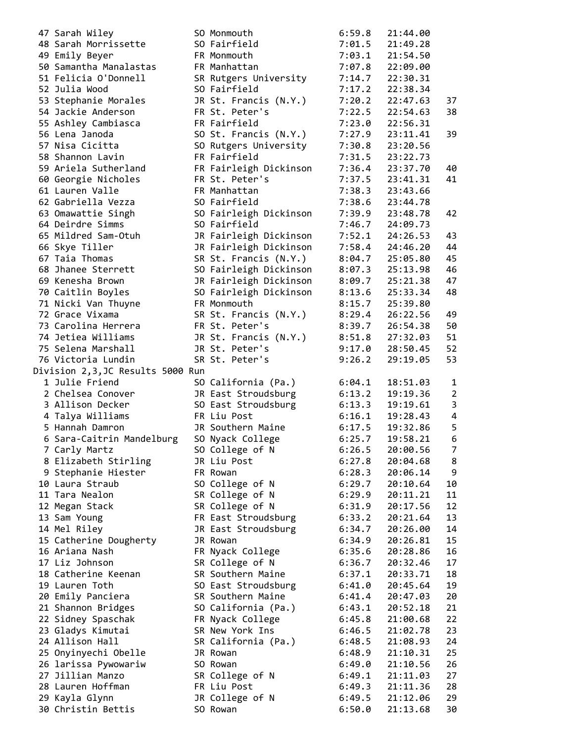| 47 Sarah Wiley                       | SO Monmouth                 | 6:59.8           | 21:44.00             |                         |
|--------------------------------------|-----------------------------|------------------|----------------------|-------------------------|
| 48 Sarah Morrissette                 | SO Fairfield                | 7:01.5           | 21:49.28             |                         |
| 49 Emily Beyer                       | FR Monmouth                 | 7:03.1           | 21:54.50             |                         |
| 50 Samantha Manalastas               | FR Manhattan                | 7:07.8           | 22:09.00             |                         |
| 51 Felicia O'Donnell                 | SR Rutgers University       | 7:14.7           | 22:30.31             |                         |
| 52 Julia Wood                        | SO Fairfield                | 7:17.2           | 22:38.34             |                         |
| 53 Stephanie Morales                 | JR St. Francis (N.Y.)       | 7:20.2           | 22:47.63             | 37                      |
|                                      |                             |                  |                      |                         |
| 54 Jackie Anderson                   | FR St. Peter's              | 7:22.5           | 22:54.63             | 38                      |
| 55 Ashley Cambiasca                  | FR Fairfield                | 7:23.0           | 22:56.31             |                         |
| 56 Lena Janoda                       | SO St. Francis (N.Y.)       | 7:27.9           | 23:11.41             | 39                      |
| 57 Nisa Cicitta                      | SO Rutgers University       | 7:30.8           | 23:20.56             |                         |
| 58 Shannon Lavin                     | FR Fairfield                | 7:31.5           | 23:22.73             |                         |
| 59 Ariela Sutherland                 | FR Fairleigh Dickinson      | 7:36.4           | 23:37.70             | 40                      |
| 60 Georgie Nicholes                  | FR St. Peter's              | 7:37.5           | 23:41.31             | 41                      |
|                                      |                             |                  |                      |                         |
| 61 Lauren Valle                      | FR Manhattan                | 7:38.3           | 23:43.66             |                         |
| 62 Gabriella Vezza                   | SO Fairfield                | 7:38.6           | 23:44.78             |                         |
| 63 Omawattie Singh                   | SO Fairleigh Dickinson      | 7:39.9           | 23:48.78             | 42                      |
| 64 Deirdre Simms                     | SO Fairfield                | 7:46.7           | 24:09.73             |                         |
| 65 Mildred Sam-Otuh                  | JR Fairleigh Dickinson      | 7:52.1           | 24:26.53             | 43                      |
| 66 Skye Tiller                       | JR Fairleigh Dickinson      | 7:58.4           | 24:46.20             | 44                      |
| 67 Taia Thomas                       | SR St. Francis (N.Y.)       | 8:04.7           | 25:05.80             | 45                      |
|                                      |                             |                  |                      |                         |
| 68 Jhanee Sterrett                   | SO Fairleigh Dickinson      | 8:07.3           | 25:13.98             | 46                      |
| 69 Kenesha Brown                     | JR Fairleigh Dickinson      | 8:09.7           | 25:21.38             | 47                      |
| 70 Caitlin Boyles                    | SO Fairleigh Dickinson      | 8:13.6           | 25:33.34             | 48                      |
| 71 Nicki Van Thuyne                  | FR Monmouth                 | 8:15.7           | 25:39.80             |                         |
| 72 Grace Vixama                      | SR St. Francis (N.Y.)       | 8:29.4           | 26:22.56             | 49                      |
| 73 Carolina Herrera                  | FR St. Peter's              | 8:39.7           | 26:54.38             | 50                      |
| 74 Jetiea Williams                   |                             |                  | 27:32.03             | 51                      |
|                                      | JR St. Francis (N.Y.)       | 8:51.8           |                      |                         |
| 75 Selena Marshall                   | JR St. Peter's              | 9:17.0           | 28:50.45             | 52                      |
| 76 Victoria Lundin                   | SR St. Peter's              | 9:26.2           | 29:19.05             | 53                      |
|                                      |                             |                  |                      |                         |
| Division 2,3,JC Results 5000 Run     |                             |                  |                      |                         |
| 1 Julie Friend                       |                             | 6:04.1           | 18:51.03             | 1                       |
|                                      | SO California (Pa.)         |                  |                      |                         |
| 2 Chelsea Conover                    | JR East Stroudsburg         | 6:13.2           | 19:19.36             | $\overline{2}$          |
| 3 Allison Decker                     | SO East Stroudsburg         | 6:13.3           | 19:19.61             | $\overline{\mathbf{3}}$ |
| 4 Talya Williams                     | FR Liu Post                 | 6:16.1           | 19:28.43             | $\overline{4}$          |
| 5 Hannah Damron                      | JR Southern Maine           | 6:17.5           | 19:32.86             | 5                       |
| 6 Sara-Caitrin Mandelburg            | SO Nyack College            | 6:25.7           | 19:58.21             | 6                       |
| 7 Carly Martz                        | SO College of N             | 6:26.5           | 20:00.56             | $\overline{7}$          |
| 8 Elizabeth Stirling                 | JR Liu Post                 | 6:27.8           | 20:04.68             | 8                       |
|                                      | FR Rowan                    |                  |                      | 9                       |
| 9 Stephanie Hiester                  |                             | 6:28.3           | 20:06.14             |                         |
| 10 Laura Straub                      | SO College of N             | 6:29.7           | 20:10.64             | 10                      |
| 11 Tara Nealon                       | SR College of N             | 6:29.9           | 20:11.21             | 11                      |
| 12 Megan Stack                       | SR College of N             | 6:31.9           | 20:17.56             | 12                      |
| 13 Sam Young                         | FR East Stroudsburg         | 6:33.2           | 20:21.64             | 13                      |
| 14 Mel Riley                         | JR East Stroudsburg         | 6:34.7           | 20:26.00             | 14                      |
| 15 Catherine Dougherty               | JR Rowan                    | 6:34.9           | 20:26.81             | 15                      |
| 16 Ariana Nash                       | FR Nyack College            | 6:35.6           | 20:28.86             | 16                      |
|                                      |                             |                  |                      |                         |
| 17 Liz Johnson                       | SR College of N             | 6:36.7           | 20:32.46             | 17                      |
| 18 Catherine Keenan                  | SR Southern Maine           | 6:37.1           | 20:33.71             | 18                      |
| 19 Lauren Toth                       | SO East Stroudsburg         | 6:41.0           | 20:45.64             | 19                      |
| 20 Emily Panciera                    | SR Southern Maine           | 6:41.4           | 20:47.03             | 20                      |
| 21 Shannon Bridges                   | SO California (Pa.)         | 6:43.1           | 20:52.18             | 21                      |
| 22 Sidney Spaschak                   | FR Nyack College            | 6:45.8           | 21:00.68             | 22                      |
| 23 Gladys Kimutai                    | SR New York Ins             | 6:46.5           | 21:02.78             | 23                      |
| 24 Allison Hall                      |                             | 6:48.5           | 21:08.93             | 24                      |
|                                      | SR California (Pa.)         |                  |                      |                         |
| 25 Onyinyechi Obelle                 | JR Rowan                    | 6:48.9           | 21:10.31             | 25                      |
| 26 larissa Pywowariw                 | SO Rowan                    | 6:49.0           | 21:10.56             | 26                      |
| 27 Jillian Manzo                     | SR College of N             | 6:49.1           | 21:11.03             | 27                      |
| 28 Lauren Hoffman                    | FR Liu Post                 | 6:49.3           | 21:11.36             | 28                      |
| 29 Kayla Glynn<br>30 Christin Bettis | JR College of N<br>SO Rowan | 6:49.5<br>6:50.0 | 21:12.06<br>21:13.68 | 29<br>30                |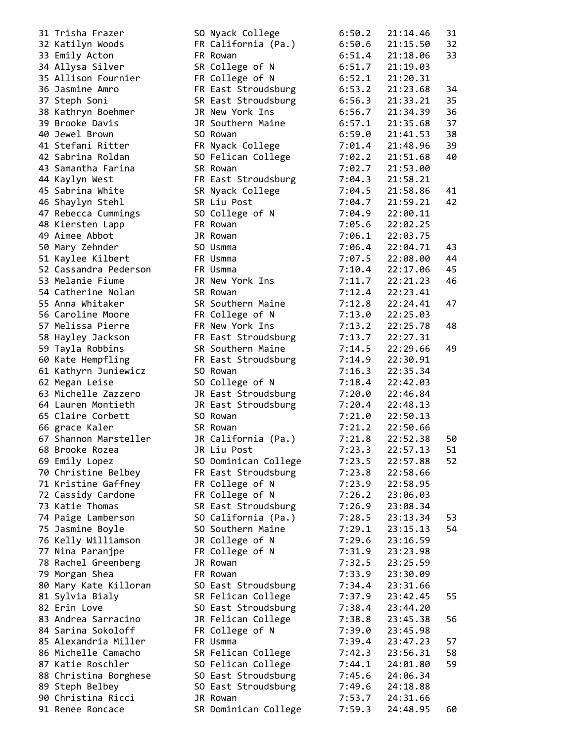| 31 Trisha Frazer      | SO Nyack College     | 6:50.2 | 21:14.46 | 31 |
|-----------------------|----------------------|--------|----------|----|
| 32 Katilyn Woods      | FR California (Pa.)  | 6:50.6 | 21:15.50 | 32 |
| 33 Emily Acton        | FR Rowan             | 6:51.4 | 21:18.06 | 33 |
| 34 Allysa Silver      | SR College of N      | 6:51.7 | 21:19.03 |    |
| 35 Allison Fournier   | FR College of N      | 6:52.1 | 21:20.31 |    |
| 36 Jasmine Amro       | FR East Stroudsburg  | 6:53.2 | 21:23.68 | 34 |
| 37 Steph Soni         | SR East Stroudsburg  | 6:56.3 | 21:33.21 | 35 |
| 38 Kathryn Boehmer    | JR New York Ins      | 6:56.7 | 21:34.39 | 36 |
| 39 Brooke Davis       | JR Southern Maine    | 6:57.1 | 21:35.68 | 37 |
| 40 Jewel Brown        | SO Rowan             | 6:59.0 | 21:41.53 | 38 |
| 41 Stefani Ritter     | FR Nyack College     | 7:01.4 | 21:48.96 | 39 |
| 42 Sabrina Roldan     | SO Felican College   | 7:02.2 | 21:51.68 | 40 |
| 43 Samantha Farina    | SR Rowan             | 7:02.7 | 21:53.00 |    |
| 44 Kaylyn West        | FR East Stroudsburg  | 7:04.3 | 21:58.21 |    |
| 45 Sabrina White      | SR Nyack College     | 7:04.5 | 21:58.86 | 41 |
| 46 Shaylyn Stehl      | SR Liu Post          | 7:04.7 | 21:59.21 | 42 |
| 47 Rebecca Cummings   | SO College of N      | 7:04.9 | 22:00.11 |    |
| 48 Kiersten Lapp      | FR Rowan             | 7:05.6 | 22:02.25 |    |
| 49 Aimee Abbot        | JR Rowan             | 7:06.1 | 22:03.75 |    |
| 50 Mary Zehnder       | SO Usmma             | 7:06.4 | 22:04.71 | 43 |
| 51 Kaylee Kilbert     | FR Usmma             | 7:07.5 | 22:08.00 | 44 |
| 52 Cassandra Pederson | FR Usmma             | 7:10.4 | 22:17.06 | 45 |
| 53 Melanie Fiume      | JR New York Ins      | 7:11.7 | 22:21.23 | 46 |
| 54 Catherine Nolan    | SR Rowan             | 7:12.4 | 22:23.41 |    |
| 55 Anna Whitaker      | SR Southern Maine    | 7:12.8 | 22:24.41 | 47 |
| 56 Caroline Moore     | FR College of N      | 7:13.0 | 22:25.03 |    |
| 57 Melissa Pierre     | FR New York Ins      | 7:13.2 | 22:25.78 | 48 |
| 58 Hayley Jackson     | FR East Stroudsburg  | 7:13.7 | 22:27.31 |    |
| 59 Tayla Robbins      | SR Southern Maine    | 7:14.5 | 22:29.66 | 49 |
| 60 Kate Hempfling     | FR East Stroudsburg  | 7:14.9 | 22:30.91 |    |
| 61 Kathyrn Juniewicz  | SO Rowan             | 7:16.3 | 22:35.34 |    |
| 62 Megan Leise        | SO College of N      | 7:18.4 | 22:42.03 |    |
| 63 Michelle Zazzero   | JR East Stroudsburg  | 7:20.0 | 22:46.84 |    |
| 64 Lauren Montieth    | JR East Stroudsburg  | 7:20.4 | 22:48.13 |    |
| 65 Claire Corbett     | SO Rowan             | 7:21.0 | 22:50.13 |    |
| 66 grace Kaler        | SR Rowan             | 7:21.2 | 22:50.66 |    |
| 67 Shannon Marsteller | JR California (Pa.)  | 7:21.8 | 22:52.38 | 50 |
| 68 Brooke Rozea       | JR Liu Post          | 7:23.3 | 22:57.13 | 51 |
| 69 Emily Lopez        | SO Dominican College | 7:23.5 | 22:57.88 | 52 |
| 70 Christine Belbey   | FR East Stroudsburg  | 7:23.8 | 22:58.66 |    |
| 71 Kristine Gaffney   | FR College of N      | 7:23.9 | 22:58.95 |    |
| 72 Cassidy Cardone    | FR College of N      | 7:26.2 | 23:06.03 |    |
| 73 Katie Thomas       | SR East Stroudsburg  | 7:26.9 | 23:08.34 |    |
| 74 Paige Lamberson    | SO California (Pa.)  | 7:28.5 | 23:13.34 | 53 |
| 75 Jasmine Boyle      | SO Southern Maine    | 7:29.1 | 23:15.13 | 54 |
| 76 Kelly Williamson   | JR College of N      | 7:29.6 | 23:16.59 |    |
| 77 Nina Paranjpe      | FR College of N      | 7:31.9 | 23:23.98 |    |
| 78 Rachel Greenberg   | JR Rowan             | 7:32.5 | 23:25.59 |    |
| 79 Morgan Shea        | FR Rowan             | 7:33.9 | 23:30.09 |    |
| 80 Mary Kate Killoran | SO East Stroudsburg  | 7:34.4 | 23:31.66 |    |
| 81 Sylvia Bialy       | SR Felican College   | 7:37.9 | 23:42.45 | 55 |
| 82 Erin Love          | SO East Stroudsburg  | 7:38.4 | 23:44.20 |    |
| 83 Andrea Sarracino   | JR Felican College   | 7:38.8 | 23:45.38 | 56 |
| 84 Sarina Sokoloff    | FR College of N      | 7:39.0 | 23:45.98 |    |
| 85 Alexandria Miller  | FR Usmma             | 7:39.4 | 23:47.23 | 57 |
| 86 Michelle Camacho   | SR Felican College   | 7:42.3 | 23:56.31 | 58 |
| 87 Katie Roschler     | SO Felican College   | 7:44.1 | 24:01.80 | 59 |
| 88 Christina Borghese | SO East Stroudsburg  | 7:45.6 | 24:06.34 |    |
| 89 Steph Belbey       | SO East Stroudsburg  | 7:49.6 | 24:18.88 |    |
| 90 Christina Ricci    | JR Rowan             | 7:53.7 | 24:31.66 |    |
| 91 Renee Roncace      | SR Dominican College | 7:59.3 | 24:48.95 | 60 |
|                       |                      |        |          |    |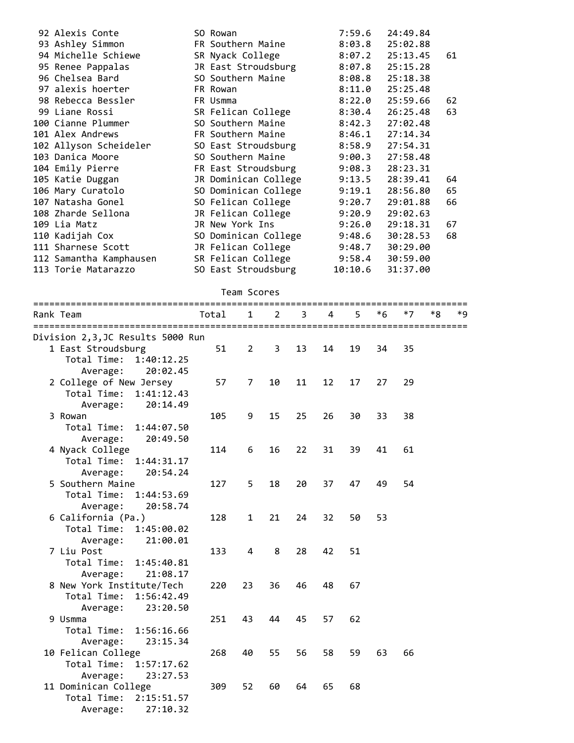| 92 Alexis Conte         | SO Rowan             | 7:59.6  | 24:49.84 |    |
|-------------------------|----------------------|---------|----------|----|
| 93 Ashley Simmon        | FR Southern Maine    | 8:03.8  | 25:02.88 |    |
| 94 Michelle Schiewe     | SR Nyack College     | 8:07.2  | 25:13.45 | 61 |
| 95 Renee Pappalas       | JR East Stroudsburg  | 8:07.8  | 25:15.28 |    |
| 96 Chelsea Bard         | SO Southern Maine    | 8:08.8  | 25:18.38 |    |
| 97 alexis hoerter       | FR Rowan             | 8:11.0  | 25:25.48 |    |
| 98 Rebecca Bessler      | FR Usmma             | 8:22.0  | 25:59.66 | 62 |
| 99 Liane Rossi          | SR Felican College   | 8:30.4  | 26:25.48 | 63 |
| 100 Cianne Plummer      | SO Southern Maine    | 8:42.3  | 27:02.48 |    |
| 101 Alex Andrews        | FR Southern Maine    | 8:46.1  | 27:14.34 |    |
| 102 Allyson Scheideler  | SO East Stroudsburg  | 8:58.9  | 27:54.31 |    |
| 103 Danica Moore        | SO Southern Maine    | 9:00.3  | 27:58.48 |    |
| 104 Emily Pierre        | FR East Stroudsburg  | 9:08.3  | 28:23.31 |    |
| 105 Katie Duggan        | JR Dominican College | 9:13.5  | 28:39.41 | 64 |
| 106 Mary Curatolo       | SO Dominican College | 9:19.1  | 28:56.80 | 65 |
| 107 Natasha Gonel       | SO Felican College   | 9:20.7  | 29:01.88 | 66 |
| 108 Zharde Sellona      | JR Felican College   | 9:20.9  | 29:02.63 |    |
| 109 Lia Matz            | JR New York Ins      | 9:26.0  | 29:18.31 | 67 |
| 110 Kadijah Cox         | SO Dominican College | 9:48.6  | 30:28.53 | 68 |
| 111 Sharnese Scott      | JR Felican College   | 9:48.7  | 30:29.00 |    |
| 112 Samantha Kamphausen | SR Felican College   | 9:58.4  | 30:59.00 |    |
| 113 Torie Matarazzo     | SO East Stroudsburg  | 10:10.6 | 31:37.00 |    |

Team Scores

| ================================<br>Rank Team | Total | 1              | $\mathcal{P}$ | 3  | Δ  |    | *6 | *7 | ===================<br>*Ջ | *q |
|-----------------------------------------------|-------|----------------|---------------|----|----|----|----|----|---------------------------|----|
| Division 2,3,JC Results 5000 Run              |       |                |               |    |    |    |    |    |                           |    |
| 1 East Stroudsburg                            | 51    | $\overline{2}$ | 3             | 13 | 14 | 19 | 34 | 35 |                           |    |
| Total Time:<br>1:40:12.25                     |       |                |               |    |    |    |    |    |                           |    |
| 20:02.45<br>Average:                          |       |                |               |    |    |    |    |    |                           |    |
| 2 College of New Jersey                       | 57    | 7              | 10            | 11 | 12 | 17 | 27 | 29 |                           |    |
| Total Time:<br>1:41:12.43                     |       |                |               |    |    |    |    |    |                           |    |
| 20:14.49<br>Average:                          |       |                |               |    |    |    |    |    |                           |    |
| 3 Rowan                                       | 105   | 9              | 15            | 25 | 26 | 30 | 33 | 38 |                           |    |
| Total Time:<br>1:44:07.50                     |       |                |               |    |    |    |    |    |                           |    |
| 20:49.50<br>Average:                          |       |                |               |    |    |    |    |    |                           |    |
| 4 Nyack College                               | 114   | 6              | 16            | 22 | 31 | 39 | 41 | 61 |                           |    |
| Total Time:<br>1:44:31.17                     |       |                |               |    |    |    |    |    |                           |    |
| 20:54.24<br>Average:                          |       |                |               |    |    |    |    |    |                           |    |
| 5 Southern Maine                              | 127   | 5              | 18            | 20 | 37 | 47 | 49 | 54 |                           |    |
| Total Time:<br>1:44:53.69                     |       |                |               |    |    |    |    |    |                           |    |
| 20:58.74<br>Average:                          |       |                |               |    |    |    |    |    |                           |    |
| 6 California (Pa.)                            | 128   | $\mathbf{1}$   | 21            | 24 | 32 | 50 | 53 |    |                           |    |
| Total Time:<br>1:45:00.02                     |       |                |               |    |    |    |    |    |                           |    |
| 21:00.01<br>Average:                          |       |                |               |    |    |    |    |    |                           |    |
| 7 Liu Post                                    | 133   | 4              | 8             | 28 | 42 | 51 |    |    |                           |    |
| Total Time:<br>1:45:40.81                     |       |                |               |    |    |    |    |    |                           |    |
| 21:08.17<br>Average:                          |       |                |               |    |    |    |    |    |                           |    |
| 8 New York Institute/Tech                     | 220   | 23             | 36            | 46 | 48 | 67 |    |    |                           |    |
| Total Time:<br>1:56:42.49                     |       |                |               |    |    |    |    |    |                           |    |
| 23:20.50<br>Average:                          |       |                |               |    |    |    |    |    |                           |    |
| 9 Usmma                                       | 251   | 43             | 44            | 45 | 57 | 62 |    |    |                           |    |
| Total Time:<br>1:56:16.66                     |       |                |               |    |    |    |    |    |                           |    |
| 23:15.34<br>Average:                          |       |                |               |    |    |    |    |    |                           |    |
| 10 Felican College                            | 268   | 40             | 55            | 56 | 58 | 59 | 63 | 66 |                           |    |
| Total Time:<br>1:57:17.62                     |       |                |               |    |    |    |    |    |                           |    |
| Average:<br>23:27.53                          |       |                |               |    |    |    |    |    |                           |    |
| 11 Dominican College                          | 309   | 52             | 60            | 64 | 65 | 68 |    |    |                           |    |
| Total Time:<br>2:15:51.57                     |       |                |               |    |    |    |    |    |                           |    |

Average: 27:10.32